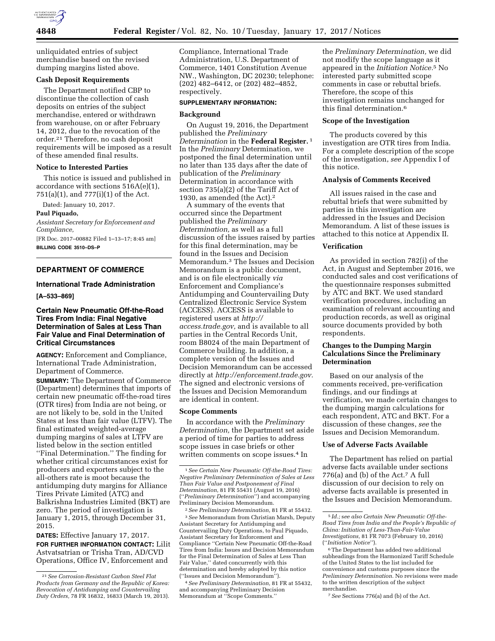

unliquidated entries of subject merchandise based on the revised dumping margins listed above.

## **Cash Deposit Requirements**

The Department notified CBP to discontinue the collection of cash deposits on entries of the subject merchandise, entered or withdrawn from warehouse, on or after February 14, 2012, due to the revocation of the order.21 Therefore, no cash deposit requirements will be imposed as a result of these amended final results.

# **Notice to Interested Parties**

This notice is issued and published in accordance with sections 516A(e)(1), 751(a)(1), and 777(i)(1) of the Act.

Dated: January 10, 2017.

# **Paul Piquado,**

*Assistant Secretary for Enforcement and Compliance,* 

[FR Doc. 2017–00882 Filed 1–13–17; 8:45 am] **BILLING CODE 3510–DS–P** 

# **DEPARTMENT OF COMMERCE**

### **International Trade Administration**

**[A–533–869]** 

# **Certain New Pneumatic Off-the-Road Tires From India: Final Negative Determination of Sales at Less Than Fair Value and Final Determination of Critical Circumstances**

**AGENCY:** Enforcement and Compliance, International Trade Administration, Department of Commerce.

**SUMMARY:** The Department of Commerce (Department) determines that imports of certain new pneumatic off-the-road tires (OTR tires) from India are not being, or are not likely to be, sold in the United States at less than fair value (LTFV). The final estimated weighted-average dumping margins of sales at LTFV are listed below in the section entitled ''Final Determination.'' The finding for whether critical circumstances exist for producers and exporters subject to the all-others rate is moot because the antidumping duty margins for Alliance Tires Private Limited (ATC) and Balkrishna Industries Limited (BKT) are zero. The period of investigation is January 1, 2015, through December 31, 2015.

**DATES:** Effective January 17, 2017. **FOR FURTHER INFORMATION CONTACT:** Lilit Astvatsatrian or Trisha Tran, AD/CVD Operations, Office IV, Enforcement and

Compliance, International Trade Administration, U.S. Department of Commerce, 1401 Constitution Avenue NW., Washington, DC 20230; telephone: (202) 482–6412, or (202) 482–4852, respectively.

#### **SUPPLEMENTARY INFORMATION:**

#### **Background**

On August 19, 2016, the Department published the *Preliminary Determination* in the **Federal Register.** 1 In the *Preliminary* Determination, we postponed the final determination until no later than 135 days after the date of publication of the *Preliminary*  Determination in accordance with section 735(a)(2) of the Tariff Act of 1930, as amended (the Act).2

A summary of the events that occurred since the Department published the *Preliminary Determination,* as well as a full discussion of the issues raised by parties for this final determination, may be found in the Issues and Decision Memorandum.3 The Issues and Decision Memorandum is a public document, and is on file electronically *via*  Enforcement and Compliance's Antidumping and Countervailing Duty Centralized Electronic Service System (ACCESS). ACCESS is available to registered users at *[http://](http://access.trade.gov) [access.trade.gov,](http://access.trade.gov)* and is available to all parties in the Central Records Unit, room B8024 of the main Department of Commerce building. In addition, a complete version of the Issues and Decision Memorandum can be accessed directly at *[http://enforcement.trade.gov.](http://enforcement.trade.gov)*  The signed and electronic versions of the Issues and Decision Memorandum are identical in content.

#### **Scope Comments**

In accordance with the *Preliminary Determination,* the Department set aside a period of time for parties to address scope issues in case briefs or other written comments on scope issues.4 In

2*See Preliminary Determination,* 81 FR at 55432. 3*See* Memorandum from Christian Marsh, Deputy Assistant Secretary for Antidumping and Countervailing Duty Operations, to Paul Piquado, Assistant Secretary for Enforcement and Compliance ''Certain New Pneumatic Off-the-Road Tires from India: Issues and Decision Memorandum for the Final Determination of Sales at Less Than Fair Value,'' dated concurrently with this determination and hereby adopted by this notice (''Issues and Decision Memorandum'').

4*See Preliminary Determination,* 81 FR at 55432, and accompanying Preliminary Decision Memorandum at ''Scope Comments.''

the *Preliminary Determination,* we did not modify the scope language as it appeared in the *Initiation Notice.*5 No interested party submitted scope comments in case or rebuttal briefs. Therefore, the scope of this investigation remains unchanged for this final determination.6

## **Scope of the Investigation**

The products covered by this investigation are OTR tires from India. For a complete description of the scope of the investigation, *see* Appendix I of this notice.

### **Analysis of Comments Received**

All issues raised in the case and rebuttal briefs that were submitted by parties in this investigation are addressed in the Issues and Decision Memorandum. A list of these issues is attached to this notice at Appendix II.

### **Verification**

As provided in section 782(i) of the Act, in August and September 2016, we conducted sales and cost verifications of the questionnaire responses submitted by ATC and BKT. We used standard verification procedures, including an examination of relevant accounting and production records, as well as original source documents provided by both respondents.

# **Changes to the Dumping Margin Calculations Since the Preliminary Determination**

Based on our analysis of the comments received, pre-verification findings, and our findings at verification, we made certain changes to the dumping margin calculations for each respondent, ATC and BKT. For a discussion of these changes, *see* the Issues and Decision Memorandum.

# **Use of Adverse Facts Available**

The Department has relied on partial adverse facts available under sections 776(a) and (b) of the Act.7 A full discussion of our decision to rely on adverse facts available is presented in the Issues and Decision Memorandum.

7*See* Sections 776(a) and (b) of the Act.

<sup>21</sup>*See Corrosion-Resistant Carbon Steel Flat Products from Germany and the Republic of Korea: Revocation of Antidumping and Countervailing Duty Orders,* 78 FR 16832, 16833 (March 19, 2013).

<sup>1</sup>*See Certain New Pneumatic Off-the-Road Tires: Negative Preliminary Determination of Sales at Less Than Fair Value and Postponement of Final Determination,* 81 FR 55431 (August 19, 2016) (''*Preliminary Determination*'') and accompanying Preliminary Decision Memorandum.

<sup>5</sup> *Id.;* s*ee also Certain New Pneumatic Off-the-Road Tires from India and the People's Republic of China: Initiation of Less-Than-Fair-Value Investigations,* 81 FR 7073 (February 10, 2016) (''*Initiation Notice*'').

<sup>6</sup>The Department has added two additional subheadings from the Harmonized Tariff Schedule of the United States to the list included for convenience and customs purposes since the *Preliminary Determination.* No revisions were made to the written description of the subject merchandise.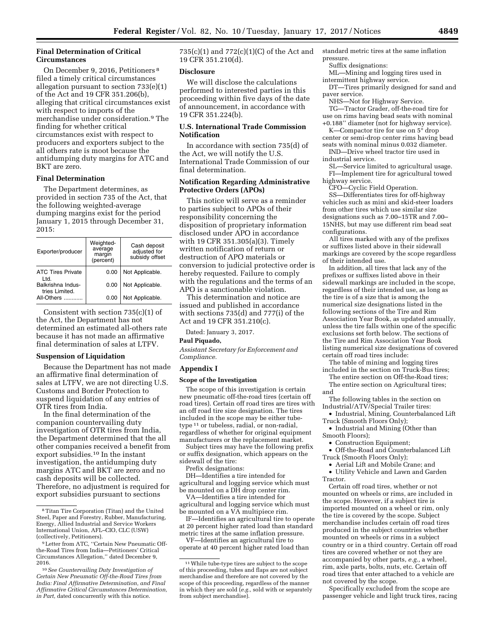## **Final Determination of Critical Circumstances**

On December 9, 2016, Petitioners 8 filed a timely critical circumstances allegation pursuant to section 733(e)(1) of the Act and 19 CFR 351.206(b), alleging that critical circumstances exist with respect to imports of the merchandise under consideration.9 The finding for whether critical circumstances exist with respect to producers and exporters subject to the all others rate is moot because the antidumping duty margins for ATC and BKT are zero.

## **Final Determination**

The Department determines, as provided in section 735 of the Act, that the following weighted-average dumping margins exist for the period January 1, 2015 through December 31, 2015:

| Exporter/producer                                 | Weighted-<br>average<br>margin<br>(percent) | Cash deposit<br>adjusted for<br>subsidy offset |
|---------------------------------------------------|---------------------------------------------|------------------------------------------------|
| <b>ATC Tires Private</b><br>ht I                  | 0.00                                        | Not Applicable.                                |
| Balkrishna Indus-<br>tries Limited.<br>All-Others | 0.00                                        | Not Applicable.                                |
|                                                   | 0.00                                        | Not Applicable.                                |

Consistent with section 735(c)(1) of the Act, the Department has not determined an estimated all-others rate because it has not made an affirmative final determination of sales at LTFV.

#### **Suspension of Liquidation**

Because the Department has not made an affirmative final determination of sales at LTFV, we are not directing U.S. Customs and Border Protection to suspend liquidation of any entries of OTR tires from India.

In the final determination of the companion countervailing duty investigation of OTR tires from India, the Department determined that the all other companies received a benefit from export subsidies.10 In the instant investigation, the antidumping duty margins ATC and BKT are zero and no cash deposits will be collected. Therefore, no adjustment is required for export subsidies pursuant to sections

735(c)(1) and 772(c)(1)(C) of the Act and 19 CFR 351.210(d).

#### **Disclosure**

We will disclose the calculations performed to interested parties in this proceeding within five days of the date of announcement, in accordance with 19 CFR 351.224(b).

# **U.S. International Trade Commission Notification**

In accordance with section 735(d) of the Act, we will notify the U.S. International Trade Commission of our final determination.

# **Notification Regarding Administrative Protective Orders (APOs)**

This notice will serve as a reminder to parties subject to APOs of their responsibility concerning the disposition of proprietary information disclosed under APO in accordance with 19 CFR 351.305(a)(3). Timely written notification of return or destruction of APO materials or conversion to judicial protective order is hereby requested. Failure to comply with the regulations and the terms of an APO is a sanctionable violation.

This determination and notice are issued and published in accordance with sections 735(d) and 777(i) of the Act and 19 CFR 351.210(c).

Dated: January 3, 2017.

#### **Paul Piquado,**

*Assistant Secretary for Enforcement and Compliance.* 

#### **Appendix I**

#### **Scope of the Investigation**

The scope of this investigation is certain new pneumatic off-the-road tires (certain off road tires). Certain off road tires are tires with an off road tire size designation. The tires included in the scope may be either tubetype 11 or tubeless, radial, or non-radial, regardless of whether for original equipment manufacturers or the replacement market.

Subject tires may have the following prefix or suffix designation, which appears on the sidewall of the tire:

Prefix designations:

DH—Identifies a tire intended for agricultural and logging service which must be mounted on a DH drop center rim.

VA—Identifies a tire intended for agricultural and logging service which must be mounted on a VA multipiece rim.

IF—Identifies an agricultural tire to operate at 20 percent higher rated load than standard metric tires at the same inflation pressure.

VF—Identifies an agricultural tire to operate at 40 percent higher rated load than standard metric tires at the same inflation pressure.

Suffix designations:

ML—Mining and logging tires used in intermittent highway service.

DT—Tires primarily designed for sand and paver service.

NHS—Not for Highway Service.

TG—Tractor Grader, off-the-road tire for use on rims having bead seats with nominal +0.188'' diameter (not for highway service).

K—Compactor tire for use on 5° drop center or semi-drop center rims having bead

seats with nominal minus 0.032 diameter. IND—Drive wheel tractor tire used in industrial service.

SL—Service limited to agricultural usage. FI—Implement tire for agricultural towed highway service.

CFO—Cyclic Field Operation. SS—Differentiates tires for off-highway vehicles such as mini and skid-steer loaders from other tires which use similar size designations such as 7.00–15TR and 7.00– 15NHS, but may use different rim bead seat configurations.

All tires marked with any of the prefixes or suffixes listed above in their sidewall markings are covered by the scope regardless of their intended use.

In addition, all tires that lack any of the prefixes or suffixes listed above in their sidewall markings are included in the scope, regardless of their intended use, as long as the tire is of a size that is among the numerical size designations listed in the following sections of the Tire and Rim Association Year Book, as updated annually, unless the tire falls within one of the specific exclusions set forth below. The sections of the Tire and Rim Association Year Book listing numerical size designations of covered certain off road tires include:

The table of mining and logging tires included in the section on Truck-Bus tires;

The entire section on Off-the-Road tires; The entire section on Agricultural tires;

and The following tables in the section on Industrial/ATV/Special Trailer tires:

• Industrial, Mining, Counterbalanced Lift Truck (Smooth Floors Only);

• Industrial and Mining (Other than Smooth Floors);

• Construction Equipment;

• Off-the-Road and Counterbalanced Lift Truck (Smooth Floors Only);

• Aerial Lift and Mobile Crane; and

• Utility Vehicle and Lawn and Garden Tractor.

Certain off road tires, whether or not mounted on wheels or rims, are included in the scope. However, if a subject tire is imported mounted on a wheel or rim, only the tire is covered by the scope. Subject merchandise includes certain off road tires produced in the subject countries whether mounted on wheels or rims in a subject country or in a third country. Certain off road tires are covered whether or not they are accompanied by other parts, *e.g.,* a wheel, rim, axle parts, bolts, nuts, etc. Certain off road tires that enter attached to a vehicle are not covered by the scope.

Specifically excluded from the scope are passenger vehicle and light truck tires, racing

<sup>8</sup>Titan Tire Corporation (Titan) and the United Steel, Paper and Forestry, Rubber, Manufacturing, Energy, Allied Industrial and Service Workers International Union, AFL–CIO, CLC (USW) (collectively, Petitioners).

<sup>9</sup>Letter from ATC, ''Certain New Pneumatic Offthe-Road Tires from India—Petitioners' Critical Circumstances Allegation,'' dated December 9, 2016.

<sup>10</sup>*See Countervailing Duty Investigation of Certain New Pneumatic Off-the-Road Tires from India: Final Affirmative Determination, and Final Affirmative Critical Circumstances Determination, in Part,* dated concurrently with this notice.

<sup>11</sup>While tube-type tires are subject to the scope of this proceeding, tubes and flaps are not subject merchandise and therefore are not covered by the scope of this proceeding, regardless of the manner in which they are sold (*e.g.,* sold with or separately from subject merchandise).